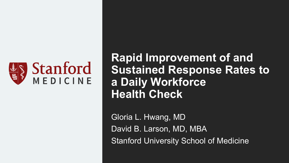

**Rapid Improvement of and Sustained Response Rates to a Daily Workforce Health Check**

Gloria L. Hwang, MD David B. Larson, MD, MBA Stanford University School of Medicine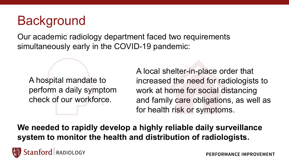# **Background**

Our academic radiology department faced two requirements simultaneously early in the COVID-19 pandemic:

A hospital mandate to perform a daily symptom check of our workforce.

A local shelter-in-place order that increased the need for radiologists to work at home for social distancing and family care obligations, as well as for health risk or symptoms.

**We needed to rapidly develop a highly reliable daily surveillance system to monitor the health and distribution of radiologists.**

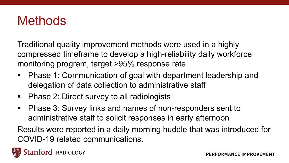### **Methods**

Traditional quality improvement methods were used in a highly compressed timeframe to develop a high-reliability daily workforce monitoring program, target >95% response rate

- Phase 1: Communication of goal with department leadership and delegation of data collection to administrative staff
- Phase 2: Direct survey to all radiologists
- Phase 3: Survey links and names of non-responders sent to administrative staff to solicit responses in early afternoon

Results were reported in a daily morning huddle that was introduced for COVID-19 related communications.

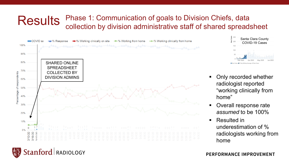#### **Results** Phase 1: Communication of goals to Division Chiefs, data collection by division administrative staff of shared spreadsheet



Stanford RADIOLOGY



- Only recorded whether radiologist reported "working clinically from home"
- Overall response rate *assumed* to be 100%
- Resulted in underestimation of % radiologists working from home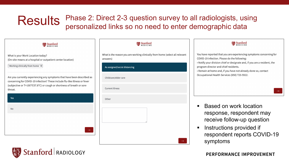### Results Phase 2: Direct 2-3 question survey to all radiologists, using personalized links so no need to enter demographic data

Stanford

What is your Work Location today? (On-site means at a hospital or outpatient center location)

Working clinically from home  $\phi$ 

Are you currently experiencing any symptoms that have been described as concerning for COVID-19 infection? These include flu-like illness or fever (subjective or T>100°F/37.8°C) or cough or shortness of breath or sore throat.

| Yes |  |               |
|-----|--|---------------|
| No  |  |               |
|     |  |               |
|     |  | $\rightarrow$ |

| <b>Stanford</b>                                                                          |  |  |  |  |
|------------------------------------------------------------------------------------------|--|--|--|--|
| What is the reason you are working clinically from home (select all relevant<br>answers) |  |  |  |  |
| As assigned/social distancing                                                            |  |  |  |  |
| Childcare/elder care                                                                     |  |  |  |  |
| <b>Current illness</b>                                                                   |  |  |  |  |
| Other                                                                                    |  |  |  |  |
| ı                                                                                        |  |  |  |  |
|                                                                                          |  |  |  |  |
|                                                                                          |  |  |  |  |



- Based on work location response, respondent may receive follow-up question
- Instructions provided if respondent reports COVID-19 symptoms

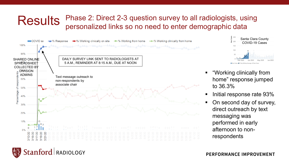#### **Results** Phase 2: Direct 2-3 question survey to all radiologists, using personalized links so no need to enter demographic data





- "Working clinically from home" response jumped to 36.3%
- Initial response rate 93%
- On second day of survey, direct outreach by text messaging was performed in early afternoon to nonrespondents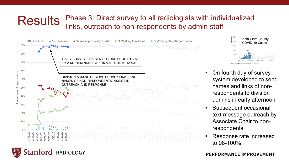#### **Results** Phase 3: Direct survey to all radiologists with individualized links, outreach to non-respondents by admin staff



Stanford RADIOLOGY



- On fourth day of survey, system developed to send names and links of nonrespondents to division admins in early afternoon
- Subsequent occasional text message outreach by Associate Chair to nonrespondents
- Response rate increased to 98-100%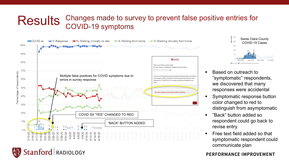#### **Results** Changes made to survey to prevent false positive entries for COVID-19 symptoms





Santa Clara County  $\frac{3}{200}$ COVID-19 Cases Apr 2020 New Cases @7-Day Rolling Average of New Cases

- Based on outreach to "symptomatic" respondents, we discovered that many responses were accidental
- **Symptomatic response button** color changed to red to distinguish from asymptomatic
- "Back" button added so respondent could go back to revise entry
- Free text field added so that symptomatic respondent could communicate plan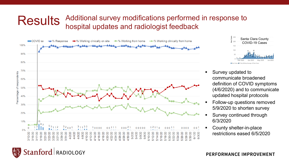#### **Results** Additional survey modifications performed in response to hospital updates and radiologist feedback





- Survey updated to communicate broadened definition of COVID symptoms (4/6/2020) and to communicate updated hospital protocols
- Follow-up questions removed 5/9/2020 to shorten survey
- Survey continued through 6/3/2020
- County shelter-in-place restrictions eased 6/5/2020